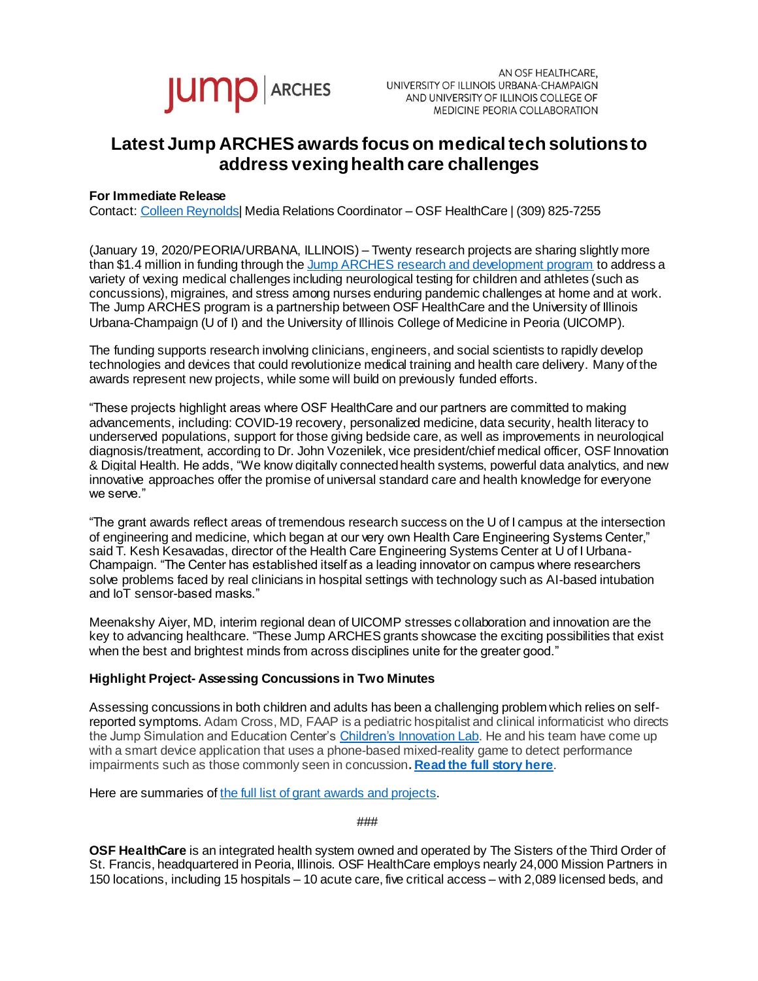

AN OSF HEALTHCARE. UNIVERSITY OF ILLINOIS URBANA-CHAMPAIGN AND UNIVERSITY OF ILLINOIS COLLEGE OF MEDICINE PEORIA COLLABORATION

## **Latest Jump ARCHES awards focus on medical tech solutionsto address vexinghealth care challenges**

## **For Immediate Release**

Contact[: Colleen Reynolds](mailto:%20colleen.reynolds@osfhealthcare.org)| Media Relations Coordinator – OSF HealthCare | (309) 825-7255

(January 19, 2020/PEORIA/URBANA, ILLINOIS) – Twenty research projects are sharing slightly more than \$1.4 million in funding through th[e Jump ARCHES research and development program](https://www.osfhealthcare.org/innovation/how/academic-incubator/jump-arches/) to address a variety of vexing medical challenges including neurological testing for children and athletes (such as concussions), migraines, and stress among nurses enduring pandemic challenges at home and at work. The Jump ARCHES program is a partnership between OSF HealthCare and the University of Illinois Urbana-Champaign (U of I) and the University of Illinois College of Medicine in Peoria (UICOMP).

The funding supports research involving clinicians, engineers, and social scientists to rapidly develop technologies and devices that could revolutionize medical training and health care delivery. Many of the awards represent new projects, while some will build on previously funded efforts.

"These projects highlight areas where OSF HealthCare and our partners are committed to making advancements, including: COVID-19 recovery, personalized medicine, data security, health literacy to underserved populations, support for those giving bedside care, as well as improvements in neurological diagnosis/treatment, according to Dr. John Vozenilek, vice president/chief medical officer, OSF Innovation & Digital Health. He adds, "We know digitally connected health systems, powerful data analytics, and new innovative approaches offer the promise of universal standard care and health knowledge for everyone we serve."

"The grant awards reflect areas of tremendous research success on the U of I campus at the intersection of engineering and medicine, which began at our very own Health Care Engineering Systems Center," said T. Kesh Kesavadas, director of the Health Care Engineering Systems Center at U of I Urbana-Champaign. "The Center has established itself as a leading innovator on campus where researchers solve problems faced by real clinicians in hospital settings with technology such as AI-based intubation and IoT sensor-based masks."

Meenakshy Aiyer, MD, interim regional dean of UICOMP stresses collaboration and innovation are the key to advancing healthcare. "These Jump ARCHES grants showcase the exciting possibilities that exist when the best and brightest minds from across disciplines unite for the greater good."

## **Highlight Project- Assessing Concussions in Two Minutes**

Assessing concussions in both children and adults has been a challenging problem which relies on selfreported symptoms. Adam Cross, MD, FAAP is a pediatric hospitalist and clinical informaticist who directs the Jump Simulation and Education Center'[s Children's Innovation Lab.](https://www.osfhealthcare.org/innovation/how/innovation-labs/childrens-innovation/) He and his team have come up with a smart device application that uses a phone-based mixed-reality game to detect performance impairments such as those commonly seen in concussion**[. Read the full story here](https://newsroom.osfhealthcare.org/osf-innovation-preparing-to-test-concussion-diagnosis-gaming-app/)**.

Here are summaries o[f the full list of grant awards and projects](https://www.osfhealthcare.org/innovation/how/academic-incubator/jump-arches/current-projects/).

###

**OSF HealthCare** is an integrated health system owned and operated by The Sisters of the Third Order of St. Francis, headquartered in Peoria, Illinois. OSF HealthCare employs nearly 24,000 Mission Partners in 150 locations, including 15 hospitals – 10 acute care, five critical access – with 2,089 licensed beds, and